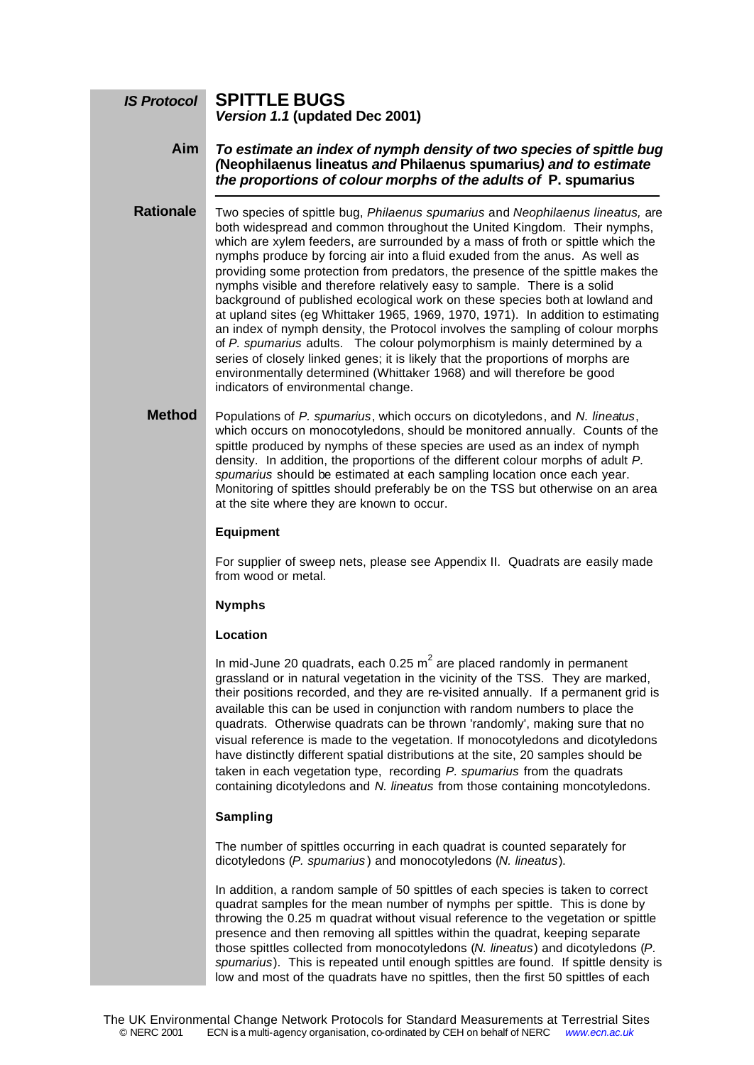#### **SPITTLE BUGS** *Version 1.1* **(updated Dec 2001)** *IS Protocol*

*To estimate an index of nymph density of two species of spittle bug (***Neophilaenus lineatus** *and* **Philaenus spumarius***) and to estimate the proportions of colour morphs of the adults of* **P. spumarius Aim**

Two species of spittle bug, *Philaenus spumarius* and *Neophilaenus lineatus,* are both widespread and common throughout the United Kingdom. Their nymphs, which are xylem feeders, are surrounded by a mass of froth or spittle which the nymphs produce by forcing air into a fluid exuded from the anus. As well as providing some protection from predators, the presence of the spittle makes the nymphs visible and therefore relatively easy to sample. There is a solid background of published ecological work on these species both at lowland and at upland sites (eg Whittaker 1965, 1969, 1970, 1971). In addition to estimating an index of nymph density, the Protocol involves the sampling of colour morphs of *P. spumarius* adults. The colour polymorphism is mainly determined by a series of closely linked genes; it is likely that the proportions of morphs are environmentally determined (Whittaker 1968) and will therefore be good indicators of environmental change. **Rationale**

Populations of *P. spumarius*, which occurs on dicotyledons, and *N. lineatus*, which occurs on monocotyledons, should be monitored annually. Counts of the spittle produced by nymphs of these species are used as an index of nymph density. In addition, the proportions of the different colour morphs of adult *P. spumarius* should be estimated at each sampling location once each year. Monitoring of spittles should preferably be on the TSS but otherwise on an area at the site where they are known to occur. **Method**

# **Equipment**

For supplier of sweep nets, please see Appendix II. Quadrats are easily made from wood or metal.

# **Nymphs**

## **Location**

In mid-June 20 quadrats, each 0.25  $m^2$  are placed randomly in permanent grassland or in natural vegetation in the vicinity of the TSS. They are marked, their positions recorded, and they are re-visited annually. If a permanent grid is available this can be used in conjunction with random numbers to place the quadrats. Otherwise quadrats can be thrown 'randomly', making sure that no visual reference is made to the vegetation. If monocotyledons and dicotyledons have distinctly different spatial distributions at the site, 20 samples should be taken in each vegetation type, recording *P. spumarius* from the quadrats containing dicotyledons and *N. lineatus* from those containing moncotyledons.

# **Sampling**

The number of spittles occurring in each quadrat is counted separately for dicotyledons (*P. spumarius* ) and monocotyledons (*N. lineatus*).

In addition, a random sample of 50 spittles of each species is taken to correct quadrat samples for the mean number of nymphs per spittle. This is done by throwing the 0.25 m quadrat without visual reference to the vegetation or spittle presence and then removing all spittles within the quadrat, keeping separate those spittles collected from monocotyledons (*N. lineatus*) and dicotyledons (*P. spumarius*). This is repeated until enough spittles are found. If spittle density is low and most of the quadrats have no spittles, then the first 50 spittles of each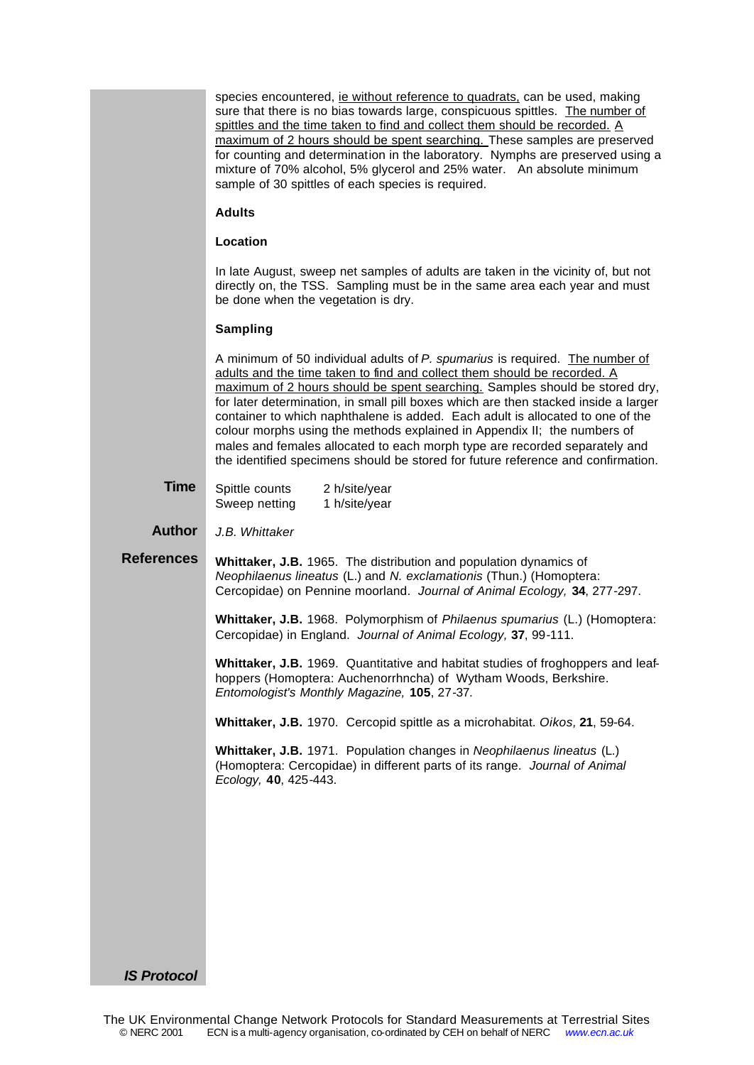| species encountered, <i>ie without reference to quadrats</i> , can be used, making |
|------------------------------------------------------------------------------------|
| sure that there is no bias towards large, conspicuous spittles. The number of      |
| spittles and the time taken to find and collect them should be recorded. A         |
| maximum of 2 hours should be spent searching. These samples are preserved          |
| for counting and determination in the laboratory. Nymphs are preserved using a     |
| mixture of 70% alcohol, 5% glycerol and 25% water. An absolute minimum             |
| sample of 30 spittles of each species is required.                                 |

### **Adults**

## **Location**

In late August, sweep net samples of adults are taken in the vicinity of, but not directly on, the TSS. Sampling must be in the same area each year and must be done when the vegetation is dry.

### **Sampling**

A minimum of 50 individual adults of *P. spumarius* is required. The number of adults and the time taken to find and collect them should be recorded. A maximum of 2 hours should be spent searching. Samples should be stored dry, for later determination, in small pill boxes which are then stacked inside a larger container to which naphthalene is added. Each adult is allocated to one of the colour morphs using the methods explained in Appendix II; the numbers of males and females allocated to each morph type are recorded separately and the identified specimens should be stored for future reference and confirmation.

| <b>Time</b> | Spittle counts | 2 h/site/year |
|-------------|----------------|---------------|
|             | Sweep netting  | 1 h/site/year |

#### *J.B. Whittaker* **Author**

**Whittaker, J.B.** 1965. The distribution and population dynamics of *Neophilaenus lineatus* (L.) and *N. exclamationis* (Thun.) (Homoptera: Cercopidae) on Pennine moorland. *Journal of Animal Ecology,* **34**, 277-297. **References**

> **Whittaker, J.B.** 1968. Polymorphism of *Philaenus spumarius* (L.) (Homoptera: Cercopidae) in England. *Journal of Animal Ecology,* **37**, 99-111.

> **Whittaker, J.B.** 1969. Quantitative and habitat studies of froghoppers and leafhoppers (Homoptera: Auchenorrhncha) of Wytham Woods, Berkshire. *Entomologist's Monthly Magazine,* **105**, 27-37.

**Whittaker, J.B.** 1970. Cercopid spittle as a microhabitat. *Oikos,* **21**, 59-64.

**Whittaker, J.B.** 1971. Population changes in *Neophilaenus lineatus* (L.) (Homoptera: Cercopidae) in different parts of its range. *Journal of Animal Ecology,* **40**, 425-443.

### *IS Protocol*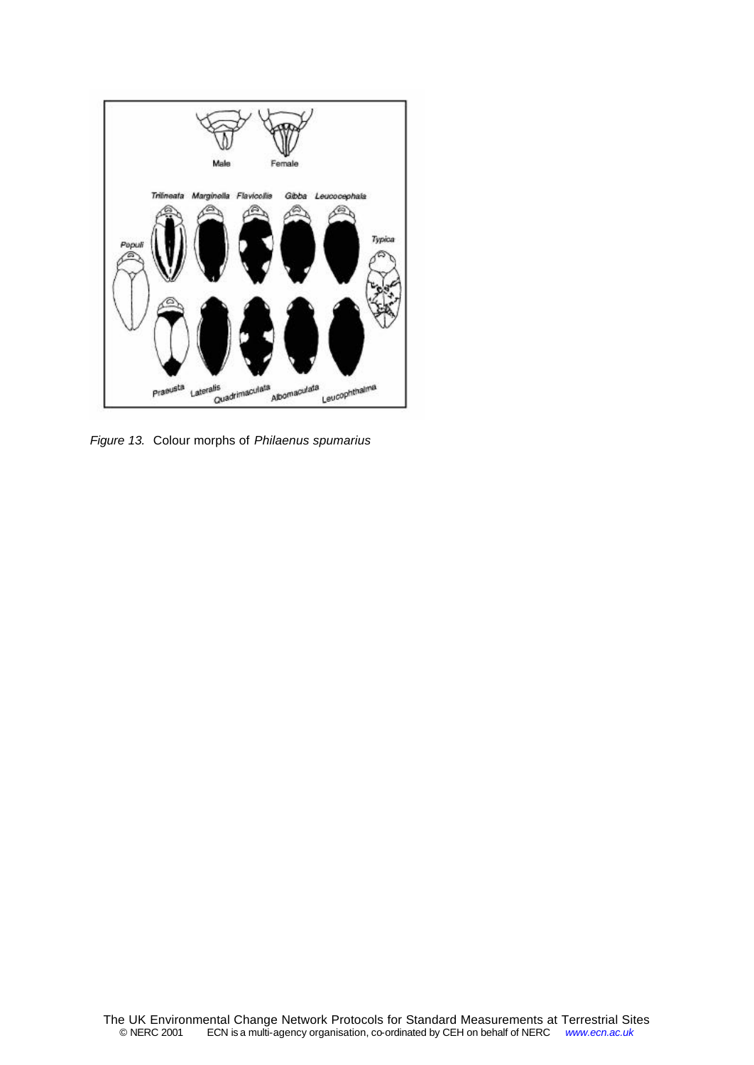

*Figure 13.* Colour morphs of *Philaenus spumarius*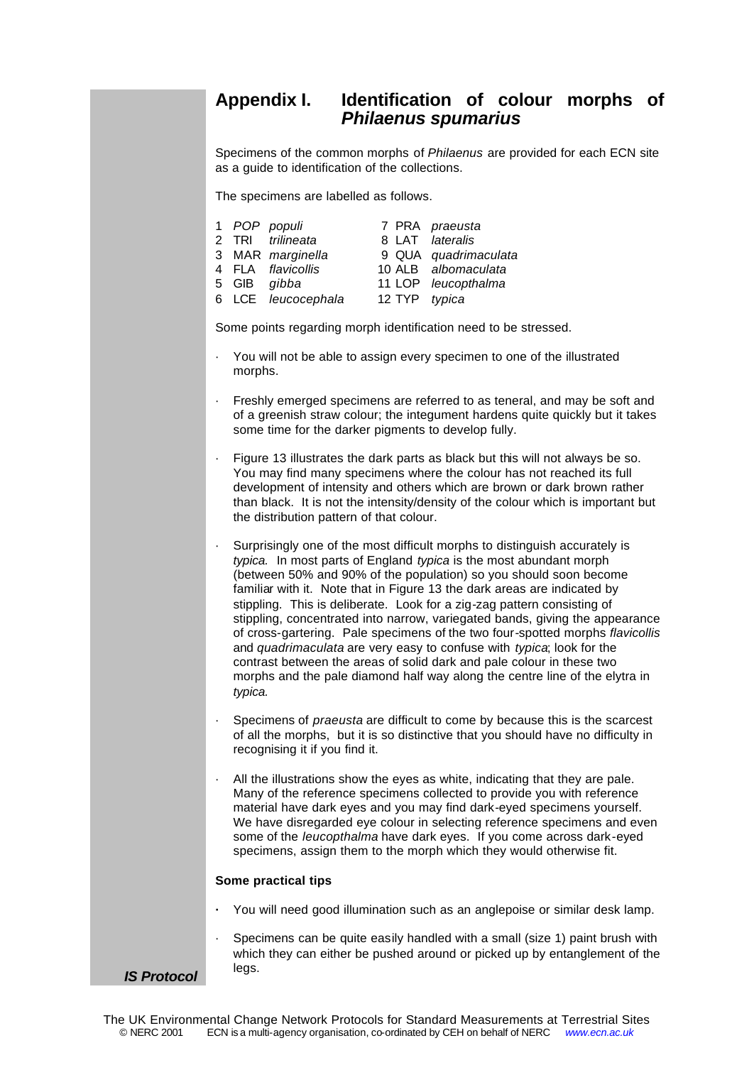# **Appendix I. Identification of colour morphs of** *Philaenus spumarius*

Specimens of the common morphs of *Philaenus* are provided for each ECN site as a guide to identification of the collections.

The specimens are labelled as follows.

|  | 1 POP populi       |               | 7 PRA praeusta       |
|--|--------------------|---------------|----------------------|
|  | 2 TRI trilineata   |               | 8 LAT lateralis      |
|  | 3 MAR marginella   |               | 9 QUA quadrimaculata |
|  | 4 FLA flavicollis  |               | 10 ALB albomaculata  |
|  | 5 GIB gibba        |               | 11 LOP leucopthalma  |
|  | 6 LCE leucocephala | 12 TYP typica |                      |

Some points regarding morph identification need to be stressed.

- · You will not be able to assign every specimen to one of the illustrated morphs.
- · Freshly emerged specimens are referred to as teneral, and may be soft and of a greenish straw colour; the integument hardens quite quickly but it takes some time for the darker pigments to develop fully.
- · Figure 13 illustrates the dark parts as black but this will not always be so. You may find many specimens where the colour has not reached its full development of intensity and others which are brown or dark brown rather than black. It is not the intensity/density of the colour which is important but the distribution pattern of that colour.
- · Surprisingly one of the most difficult morphs to distinguish accurately is *typica.* In most parts of England *typica* is the most abundant morph (between 50% and 90% of the population) so you should soon become familiar with it. Note that in Figure 13 the dark areas are indicated by stippling. This is deliberate. Look for a zig-zag pattern consisting of stippling, concentrated into narrow, variegated bands, giving the appearance of cross-gartering. Pale specimens of the two four-spotted morphs *flavicollis* and *quadrimaculata* are very easy to confuse with *typica*; look for the contrast between the areas of solid dark and pale colour in these two morphs and the pale diamond half way along the centre line of the elytra in *typica.*
- · Specimens of *praeusta* are difficult to come by because this is the scarcest of all the morphs, but it is so distinctive that you should have no difficulty in recognising it if you find it.
- All the illustrations show the eyes as white, indicating that they are pale. Many of the reference specimens collected to provide you with reference material have dark eyes and you may find dark-eyed specimens yourself. We have disregarded eye colour in selecting reference specimens and even some of the *leucopthalma* have dark eyes. If you come across dark-eyed specimens, assign them to the morph which they would otherwise fit.

# **Some practical tips**

- **·** You will need good illumination such as an anglepoise or similar desk lamp.
- Specimens can be quite easily handled with a small (size 1) paint brush with which they can either be pushed around or picked up by entanglement of the legs. *IS Protocol*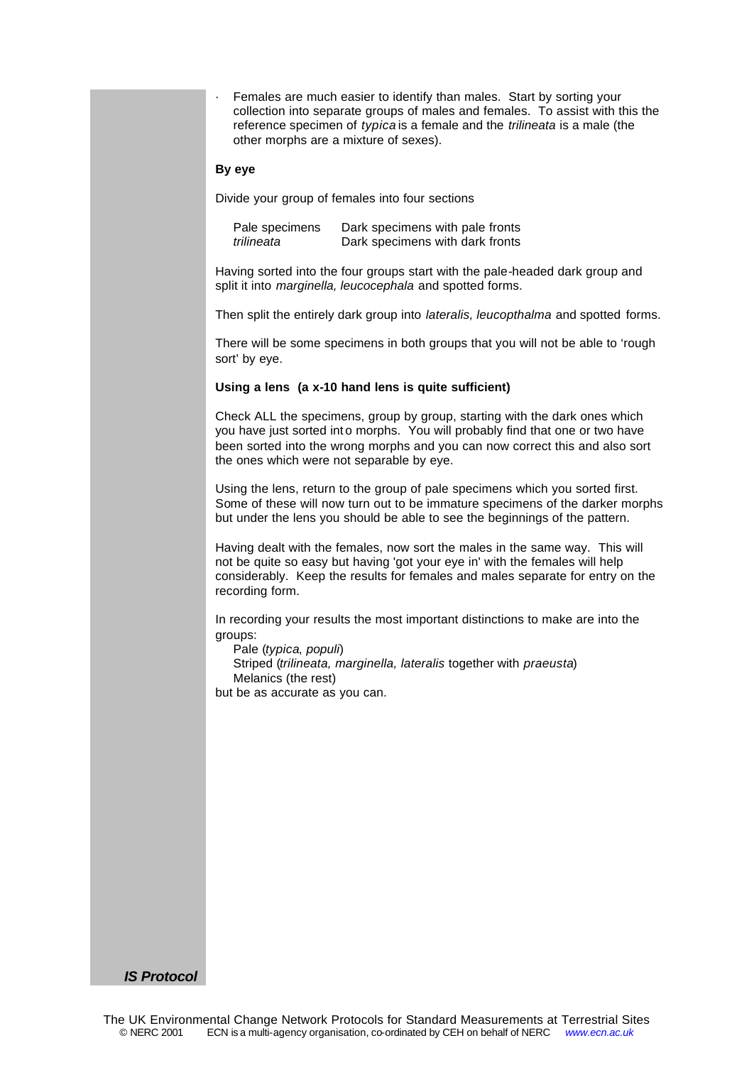Females are much easier to identify than males. Start by sorting your collection into separate groups of males and females. To assist with this the reference specimen of *typica* is a female and the *trilineata* is a male (the other morphs are a mixture of sexes).

### **By eye**

Divide your group of females into four sections

| Pale specimens | Dark specimens with pale fronts |
|----------------|---------------------------------|
| trilineata     | Dark specimens with dark fronts |

Having sorted into the four groups start with the pale-headed dark group and split it into *marginella, leucocephala* and spotted forms.

Then split the entirely dark group into *lateralis, leucopthalma* and spotted forms.

There will be some specimens in both groups that you will not be able to 'rough sort' by eye.

### **Using a lens (a x-10 hand lens is quite sufficient)**

Check ALL the specimens, group by group, starting with the dark ones which you have just sorted into morphs. You will probably find that one or two have been sorted into the wrong morphs and you can now correct this and also sort the ones which were not separable by eye.

Using the lens, return to the group of pale specimens which you sorted first. Some of these will now turn out to be immature specimens of the darker morphs but under the lens you should be able to see the beginnings of the pattern.

Having dealt with the females, now sort the males in the same way. This will not be quite so easy but having 'got your eye in' with the females will help considerably. Keep the results for females and males separate for entry on the recording form.

In recording your results the most important distinctions to make are into the groups:

Pale (*typica*, *populi*) Striped (*trilineata, marginella, lateralis* together with *praeusta*) Melanics (the rest) but be as accurate as you can.

*IS Protocol*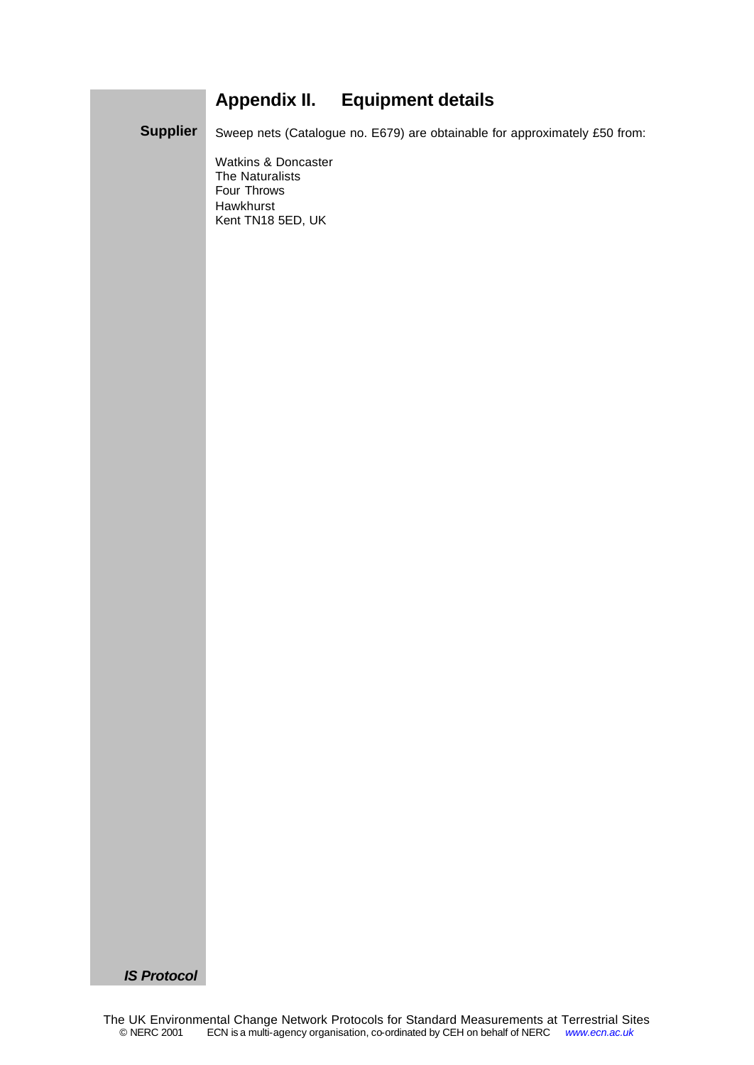# **Appendix II. Equipment details**

Sweep nets (Catalogue no. E679) are obtainable for approximately £50 from: **Supplier**

> Watkins & Doncaster The Naturalists Four Throws Hawkhurst Kent TN18 5ED, UK

*IS Protocol*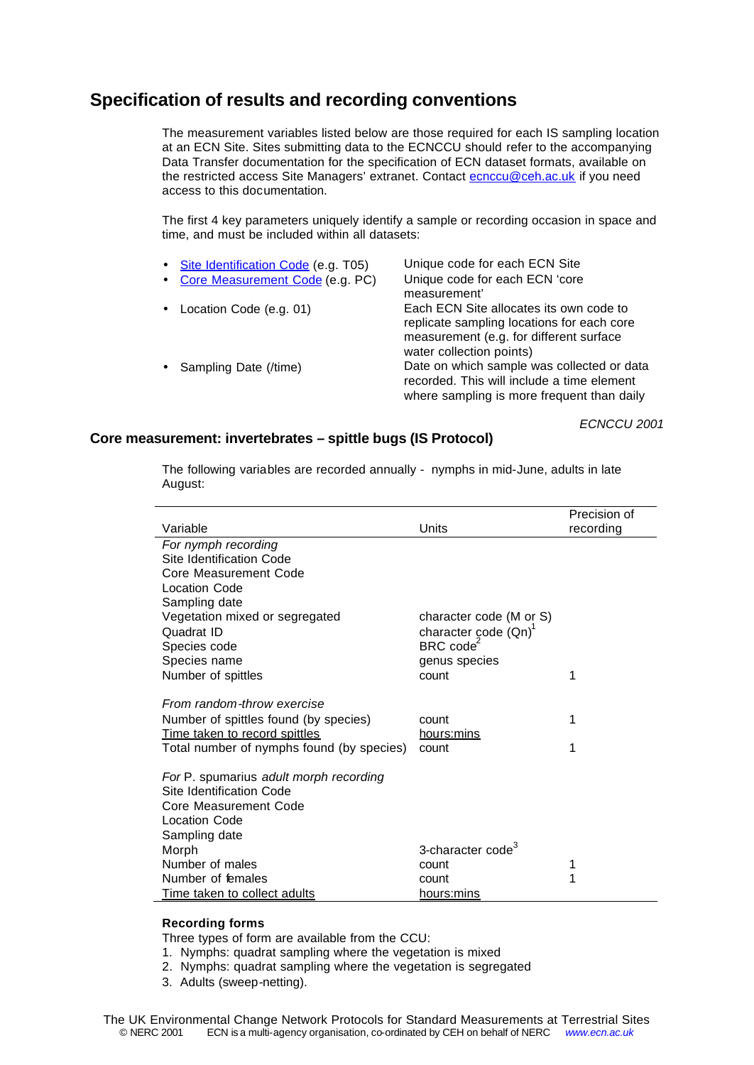# **Specification of results and recording conventions**

The measurement variables listed below are those required for each IS sampling location at an ECN Site. Sites submitting data to the ECNCCU should refer to the accompanying Data Transfer documentation for the specification of ECN dataset formats, available on the restricted access Site Managers' extranet. Contact ecnccu@ceh.ac.uk if you need access to this documentation.

The first 4 key parameters uniquely identify a sample or recording occasion in space and time, and must be included within all datasets:

| • Site Identification Code (e.g. T05) | Unique code for each ECN Site                                                                                                                                |
|---------------------------------------|--------------------------------------------------------------------------------------------------------------------------------------------------------------|
| • Core Measurement Code (e.g. PC)     | Unique code for each ECN 'core<br>measurement'                                                                                                               |
| • Location Code (e.g. 01)             | Each ECN Site allocates its own code to<br>replicate sampling locations for each core<br>measurement (e.g. for different surface<br>water collection points) |
| • Sampling Date (/time)               | Date on which sample was collected or data<br>recorded. This will include a time element<br>where sampling is more frequent than daily                       |

*ECNCCU 2001*

# **Core measurement: invertebrates – spittle bugs (IS Protocol)**

The following variables are recorded annually - nymphs in mid-June, adults in late August:

|                                                                        |                                  | Precision of |
|------------------------------------------------------------------------|----------------------------------|--------------|
| Variable                                                               | Units                            | recording    |
| For nymph recording                                                    |                                  |              |
| Site Identification Code                                               |                                  |              |
| Core Measurement Code                                                  |                                  |              |
| <b>Location Code</b>                                                   |                                  |              |
| Sampling date                                                          |                                  |              |
| Vegetation mixed or segregated                                         | character code (M or S)          |              |
| Quadrat ID                                                             | character code (Qn) <sup>1</sup> |              |
| Species code                                                           | BRC code <sup>2</sup>            |              |
| Species name                                                           | genus species                    |              |
| Number of spittles                                                     | count                            | 1            |
| From random-throw exercise                                             |                                  |              |
|                                                                        | count                            | 1            |
| Number of spittles found (by species)<br>Time taken to record spittles | hours:mins                       |              |
| Total number of nymphs found (by species)                              | count                            | 1            |
|                                                                        |                                  |              |
| For P. spumarius adult morph recording                                 |                                  |              |
| Site Identification Code                                               |                                  |              |
| Core Measurement Code                                                  |                                  |              |
| <b>Location Code</b>                                                   |                                  |              |
| Sampling date                                                          |                                  |              |
| Morph                                                                  | 3-character code <sup>3</sup>    |              |
| Number of males                                                        | count                            | 1            |
| Number of females                                                      | count                            | 1            |
| Time taken to collect adults                                           | hours:mins                       |              |

# **Recording forms**

Three types of form are available from the CCU:

- 1. Nymphs: quadrat sampling where the vegetation is mixed
- 2. Nymphs: quadrat sampling where the vegetation is segregated
- 3. Adults (sweep-netting).